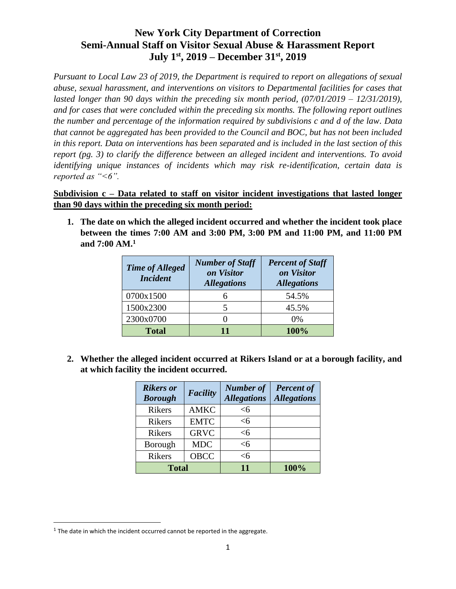*Pursuant to Local Law 23 of 2019, the Department is required to report on allegations of sexual abuse, sexual harassment, and interventions on visitors to Departmental facilities for cases that lasted longer than 90 days within the preceding six month period, (07/01/2019 – 12/31/2019), and for cases that were concluded within the preceding six months. The following report outlines the number and percentage of the information required by subdivisions c and d of the law. Data that cannot be aggregated has been provided to the Council and BOC, but has not been included in this report. Data on interventions has been separated and is included in the last section of this report (pg. 3) to clarify the difference between an alleged incident and interventions. To avoid identifying unique instances of incidents which may risk re-identification, certain data is reported as "<6".*

### **Subdivision c – Data related to staff on visitor incident investigations that lasted longer than 90 days within the preceding six month period:**

**1. The date on which the alleged incident occurred and whether the incident took place between the times 7:00 AM and 3:00 PM, 3:00 PM and 11:00 PM, and 11:00 PM and 7:00 AM.<sup>1</sup>**

| <b>Time of Alleged</b><br><b>Incident</b> | <b>Number of Staff</b><br>on Visitor<br><b>Allegations</b> | <b>Percent of Staff</b><br>on Visitor<br><b>Allegations</b> |
|-------------------------------------------|------------------------------------------------------------|-------------------------------------------------------------|
| 0700x1500                                 |                                                            | 54.5%                                                       |
| 1500x2300                                 |                                                            | 45.5%                                                       |
| 2300x0700                                 |                                                            | $0\%$                                                       |
| <b>Total</b>                              | 11                                                         | 100%                                                        |

**2. Whether the alleged incident occurred at Rikers Island or at a borough facility, and at which facility the incident occurred.**

| <b>Rikers</b> or<br><b>Borough</b> | <b>Facility</b> | <b>Number of</b><br><b>Allegations</b> | <b>Percent of</b><br><b>Allegations</b> |
|------------------------------------|-----------------|----------------------------------------|-----------------------------------------|
| Rikers                             | <b>AMKC</b>     | <б                                     |                                         |
| Rikers                             | <b>EMTC</b>     | <6                                     |                                         |
| <b>Rikers</b>                      | <b>GRVC</b>     | <6                                     |                                         |
| Borough                            | <b>MDC</b>      | <6                                     |                                         |
| <b>Rikers</b>                      | <b>OBCC</b>     | $<$ 6                                  |                                         |
| <b>Total</b>                       |                 | 11                                     | 100%                                    |

 $\overline{\phantom{a}}$ 

 $1$  The date in which the incident occurred cannot be reported in the aggregate.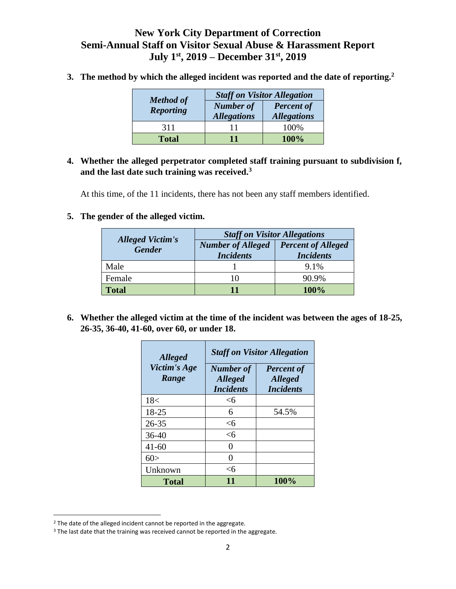**3. The method by which the alleged incident was reported and the date of reporting.<sup>2</sup>**

| <b>Method of</b> | <b>Staff on Visitor Allegation</b>     |                                         |  |
|------------------|----------------------------------------|-----------------------------------------|--|
| <b>Reporting</b> | <b>Number of</b><br><b>Allegations</b> | <b>Percent of</b><br><b>Allegations</b> |  |
| 311              |                                        | 100%                                    |  |
| <b>Total</b>     | 11                                     | 100%                                    |  |

**4. Whether the alleged perpetrator completed staff training pursuant to subdivision f, and the last date such training was received.<sup>3</sup>**

At this time, of the 11 incidents, there has not been any staff members identified.

#### **5. The gender of the alleged victim.**

| <b>Alleged Victim's</b> | <b>Staff on Visitor Allegations</b>          |                                               |  |
|-------------------------|----------------------------------------------|-----------------------------------------------|--|
| <b>Gender</b>           | <b>Number of Alleged</b><br><b>Incidents</b> | <b>Percent of Alleged</b><br><b>Incidents</b> |  |
| Male                    |                                              | 9.1%                                          |  |
| Female                  |                                              | 90.9%                                         |  |
| <b>Total</b>            |                                              | 100%                                          |  |

**6. Whether the alleged victim at the time of the incident was between the ages of 18-25, 26-35, 36-40, 41-60, over 60, or under 18.**

| <b>Alleged</b>        | <b>Staff on Visitor Allegation</b>                     |                                                         |  |
|-----------------------|--------------------------------------------------------|---------------------------------------------------------|--|
| Victim's Age<br>Range | <b>Number</b> of<br><b>Alleged</b><br><b>Incidents</b> | <b>Percent of</b><br><b>Alleged</b><br><b>Incidents</b> |  |
| 18<                   | <6                                                     |                                                         |  |
| 18-25                 | 6                                                      | 54.5%                                                   |  |
| $26 - 35$             | <б                                                     |                                                         |  |
| 36-40                 | <б                                                     |                                                         |  |
| $41 - 60$             | 0                                                      |                                                         |  |
| 60>                   | 0                                                      |                                                         |  |
| Unknown               | <б                                                     |                                                         |  |
| <b>Total</b>          | 11                                                     | 100%                                                    |  |

 $\overline{\phantom{a}}$ 

<sup>&</sup>lt;sup>2</sup> The date of the alleged incident cannot be reported in the aggregate.

<sup>&</sup>lt;sup>3</sup> The last date that the training was received cannot be reported in the aggregate.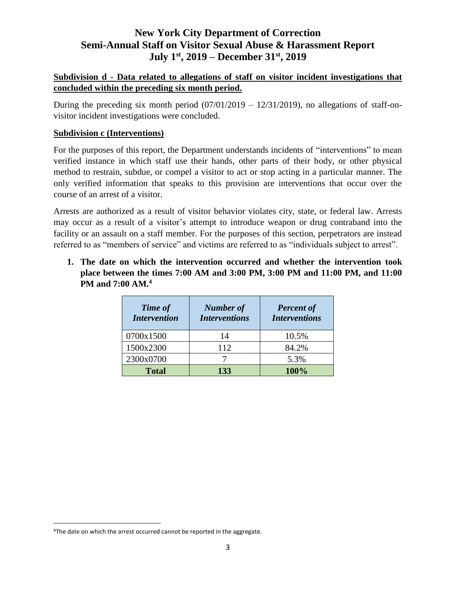### **Subdivision d - Data related to allegations of staff on visitor incident investigations that concluded within the preceding six month period.**

During the preceding six month period  $(07/01/2019 - 12/31/2019)$ , no allegations of staff-onvisitor incident investigations were concluded.

### **Subdivision c (Interventions)**

For the purposes of this report, the Department understands incidents of "interventions" to mean verified instance in which staff use their hands, other parts of their body, or other physical method to restrain, subdue, or compel a visitor to act or stop acting in a particular manner. The only verified information that speaks to this provision are interventions that occur over the course of an arrest of a visitor.

Arrests are authorized as a result of visitor behavior violates city, state, or federal law. Arrests may occur as a result of a visitor's attempt to introduce weapon or drug contraband into the facility or an assault on a staff member. For the purposes of this section, perpetrators are instead referred to as "members of service" and victims are referred to as "individuals subject to arrest".

**1. The date on which the intervention occurred and whether the intervention took place between the times 7:00 AM and 3:00 PM, 3:00 PM and 11:00 PM, and 11:00 PM and 7:00 AM.<sup>4</sup>**

| <b>Time of</b><br><b>Intervention</b> | <b>Number of</b><br><b>Interventions</b> | <b>Percent of</b><br><b>Interventions</b> |
|---------------------------------------|------------------------------------------|-------------------------------------------|
| 0700x1500                             | 14                                       | 10.5%                                     |
| 1500x2300                             | 112                                      | 84.2%                                     |
| 2300x0700                             |                                          | 5.3%                                      |
| <b>Total</b>                          | 133                                      | 100%                                      |

 $\overline{a}$ 

<sup>&</sup>lt;sup>4</sup>The date on which the arrest occurred cannot be reported in the aggregate.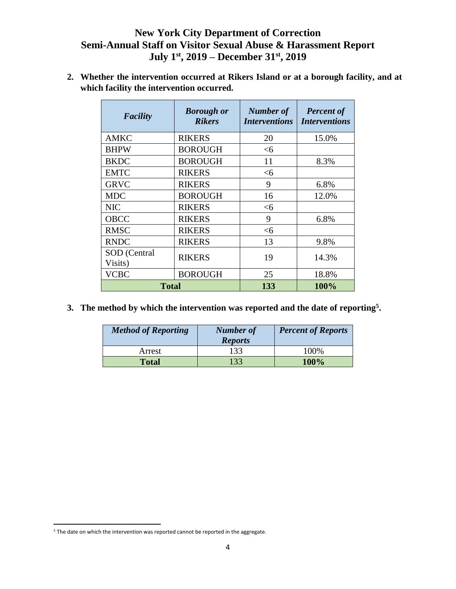**2. Whether the intervention occurred at Rikers Island or at a borough facility, and at which facility the intervention occurred.**

| <b>Facility</b>         | <b>Borough or</b><br><b>Rikers</b> | <b>Number of</b><br><b>Interventions</b> | <b>Percent of</b><br><b>Interventions</b> |
|-------------------------|------------------------------------|------------------------------------------|-------------------------------------------|
| <b>AMKC</b>             | <b>RIKERS</b>                      | 20                                       | 15.0%                                     |
| <b>BHPW</b>             | <b>BOROUGH</b>                     | <6                                       |                                           |
| <b>BKDC</b>             | <b>BOROUGH</b>                     | 11                                       | 8.3%                                      |
| <b>EMTC</b>             | <b>RIKERS</b>                      | $<$ 6                                    |                                           |
| <b>GRVC</b>             | <b>RIKERS</b>                      | 9                                        | 6.8%                                      |
| <b>MDC</b>              | <b>BOROUGH</b>                     | 16                                       | 12.0%                                     |
| <b>NIC</b>              | <b>RIKERS</b>                      | $<$ 6                                    |                                           |
| <b>OBCC</b>             | <b>RIKERS</b>                      | 9                                        | 6.8%                                      |
| <b>RMSC</b>             | <b>RIKERS</b>                      | $<$ 6                                    |                                           |
| <b>RNDC</b>             | <b>RIKERS</b>                      | 13                                       | 9.8%                                      |
| SOD (Central<br>Visits) | <b>RIKERS</b>                      | 19                                       | 14.3%                                     |
| <b>VCBC</b>             | <b>BOROUGH</b>                     | 25                                       | 18.8%                                     |
| <b>Total</b>            |                                    | 133                                      | 100%                                      |

**3. The method by which the intervention was reported and the date of reporting<sup>5</sup> .**

| <b>Method of Reporting</b> | <b>Number of</b><br><b>Reports</b> | <b>Percent of Reports</b> |
|----------------------------|------------------------------------|---------------------------|
| Arrest                     | 133                                | 100%                      |
| <b>Total</b>               | 133                                | 100%                      |

l

<sup>&</sup>lt;sup>5</sup> The date on which the intervention was reported cannot be reported in the aggregate.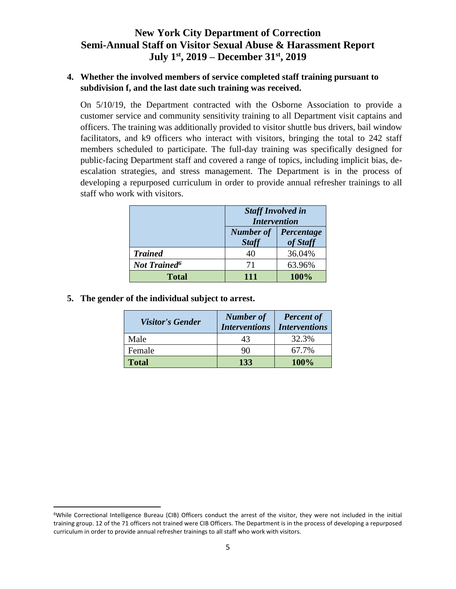#### **4. Whether the involved members of service completed staff training pursuant to subdivision f, and the last date such training was received.**

On 5/10/19, the Department contracted with the Osborne Association to provide a customer service and community sensitivity training to all Department visit captains and officers. The training was additionally provided to visitor shuttle bus drivers, bail window facilitators, and k9 officers who interact with visitors, bringing the total to 242 staff members scheduled to participate. The full-day training was specifically designed for public-facing Department staff and covered a range of topics, including implicit bias, deescalation strategies, and stress management. The Department is in the process of developing a repurposed curriculum in order to provide annual refresher trainings to all staff who work with visitors.

|                          | <b>Staff Involved in</b><br><b>Intervention</b>            |        |
|--------------------------|------------------------------------------------------------|--------|
|                          | <b>Number of</b><br>Percentage<br>of Staff<br><b>Staff</b> |        |
| <b>Trained</b>           | 40                                                         | 36.04% |
| Not Trained <sup>6</sup> | 71                                                         | 63.96% |
| <b>Total</b>             | 111                                                        | 100%   |

**5. The gender of the individual subject to arrest.** 

l

| <b>Visitor's Gender</b> | Number of<br><b>Interventions</b> | <b>Percent of</b><br><b>Interventions</b> |
|-------------------------|-----------------------------------|-------------------------------------------|
| Male                    | 43                                | 32.3%                                     |
| Female                  | 90                                | 67.7%                                     |
| <b>Total</b>            | 133                               | 100%                                      |

<sup>6</sup>While Correctional Intelligence Bureau (CIB) Officers conduct the arrest of the visitor, they were not included in the initial training group. 12 of the 71 officers not trained were CIB Officers. The Department is in the process of developing a repurposed curriculum in order to provide annual refresher trainings to all staff who work with visitors.